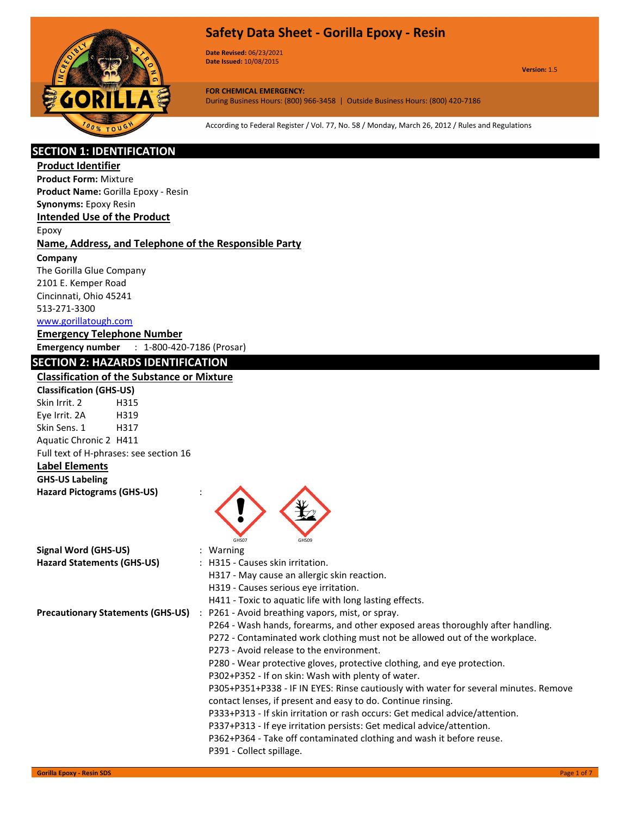

**Date Revised:** 06/23/2021 **Date Issued:** 10/08/2015

**Version:** 1.5

**FOR CHEMICAL EMERGENCY:** During Business Hours: (800) 966-3458 | Outside Business Hours: (800) 420-7186

According to Federal Register / Vol. 77, No. 58 / Monday, March 26, 2012 / Rules and Regulations

# **SECTION 1: IDENTIFICATION**

**Product Identifier**

**Product Form:** Mixture **Product Name:** Gorilla Epoxy - Resin

**Synonyms:** Epoxy Resin

# **Intended Use of the Product**

Epoxy

## **Name, Address, and Telephone of the Responsible Party**

**Company** 

The Gorilla Glue Company 2101 E. Kemper Road Cincinnati, Ohio 45241 513-271-3300 www.gorillatough.com

### **Emergency Telephone Number**

**Emergency number** : 1-800-420-7186 (Prosar)

# **SECTION 2: HAZARDS IDENTIFICATION**

# **Classification of the Substance or Mixture**

**Classification (GHS-US)** Skin Irrit. 2 H315 Eye Irrit. 2A H319 Skin Sens. 1 H317 Aquatic Chronic 2 H411 Full text of H-phrases: see section 16

# **Label Elements**

#### **GHS-US Labeling Hazard Pictograms (GHS-US)** :



| : H315 - Causes skin irritation.<br>H317 - May cause an allergic skin reaction.<br>H319 - Causes serious eye irritation.<br>H411 - Toxic to aquatic life with long lasting effects.<br>: P261 - Avoid breathing vapors, mist, or spray.<br>P264 - Wash hands, forearms, and other exposed areas thoroughly after handling.<br>P272 - Contaminated work clothing must not be allowed out of the workplace.<br>P273 - Avoid release to the environment.<br>P280 - Wear protective gloves, protective clothing, and eye protection.<br>P302+P352 - If on skin: Wash with plenty of water.<br>P305+P351+P338 - IF IN EYES: Rinse cautiously with water for several minutes. Remove<br>contact lenses, if present and easy to do. Continue rinsing.<br>P333+P313 - If skin irritation or rash occurs: Get medical advice/attention.<br>P337+P313 - If eye irritation persists: Get medical advice/attention.<br>P362+P364 - Take off contaminated clothing and wash it before reuse. | Signal Word (GHS-US)                     | $:$ Warning |
|---------------------------------------------------------------------------------------------------------------------------------------------------------------------------------------------------------------------------------------------------------------------------------------------------------------------------------------------------------------------------------------------------------------------------------------------------------------------------------------------------------------------------------------------------------------------------------------------------------------------------------------------------------------------------------------------------------------------------------------------------------------------------------------------------------------------------------------------------------------------------------------------------------------------------------------------------------------------------------|------------------------------------------|-------------|
|                                                                                                                                                                                                                                                                                                                                                                                                                                                                                                                                                                                                                                                                                                                                                                                                                                                                                                                                                                                 | <b>Hazard Statements (GHS-US)</b>        |             |
|                                                                                                                                                                                                                                                                                                                                                                                                                                                                                                                                                                                                                                                                                                                                                                                                                                                                                                                                                                                 |                                          |             |
|                                                                                                                                                                                                                                                                                                                                                                                                                                                                                                                                                                                                                                                                                                                                                                                                                                                                                                                                                                                 |                                          |             |
|                                                                                                                                                                                                                                                                                                                                                                                                                                                                                                                                                                                                                                                                                                                                                                                                                                                                                                                                                                                 |                                          |             |
|                                                                                                                                                                                                                                                                                                                                                                                                                                                                                                                                                                                                                                                                                                                                                                                                                                                                                                                                                                                 | <b>Precautionary Statements (GHS-US)</b> |             |
|                                                                                                                                                                                                                                                                                                                                                                                                                                                                                                                                                                                                                                                                                                                                                                                                                                                                                                                                                                                 |                                          |             |
|                                                                                                                                                                                                                                                                                                                                                                                                                                                                                                                                                                                                                                                                                                                                                                                                                                                                                                                                                                                 |                                          |             |
|                                                                                                                                                                                                                                                                                                                                                                                                                                                                                                                                                                                                                                                                                                                                                                                                                                                                                                                                                                                 |                                          |             |
|                                                                                                                                                                                                                                                                                                                                                                                                                                                                                                                                                                                                                                                                                                                                                                                                                                                                                                                                                                                 |                                          |             |
|                                                                                                                                                                                                                                                                                                                                                                                                                                                                                                                                                                                                                                                                                                                                                                                                                                                                                                                                                                                 |                                          |             |
|                                                                                                                                                                                                                                                                                                                                                                                                                                                                                                                                                                                                                                                                                                                                                                                                                                                                                                                                                                                 |                                          |             |
|                                                                                                                                                                                                                                                                                                                                                                                                                                                                                                                                                                                                                                                                                                                                                                                                                                                                                                                                                                                 |                                          |             |
|                                                                                                                                                                                                                                                                                                                                                                                                                                                                                                                                                                                                                                                                                                                                                                                                                                                                                                                                                                                 |                                          |             |
|                                                                                                                                                                                                                                                                                                                                                                                                                                                                                                                                                                                                                                                                                                                                                                                                                                                                                                                                                                                 |                                          |             |
|                                                                                                                                                                                                                                                                                                                                                                                                                                                                                                                                                                                                                                                                                                                                                                                                                                                                                                                                                                                 |                                          |             |
| P391 - Collect spillage.                                                                                                                                                                                                                                                                                                                                                                                                                                                                                                                                                                                                                                                                                                                                                                                                                                                                                                                                                        |                                          |             |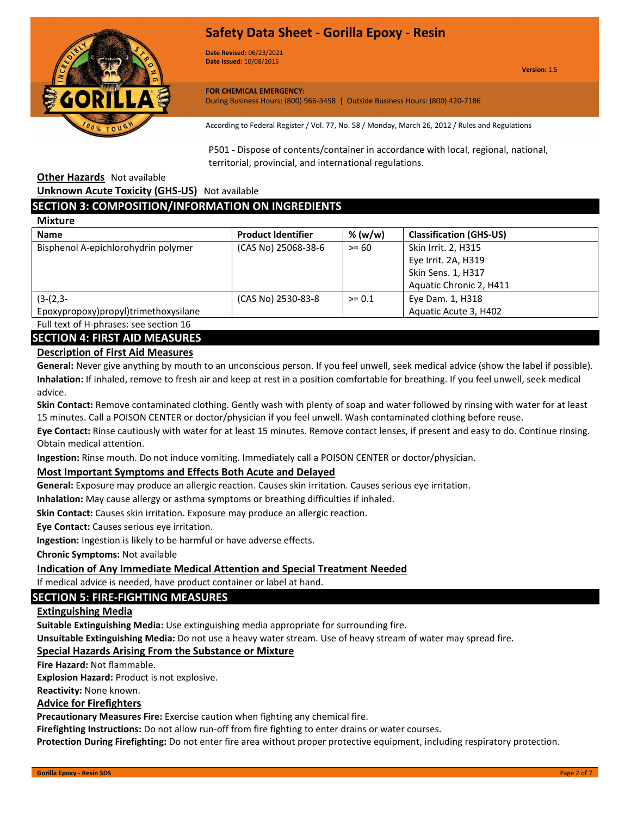



**Date Revised:** 06/23/2021 **Date Issued:** 10/08/2015

**Version:** 1.5

#### **FOR CHEMICAL EMERGENCY:**

During Business Hours: (800) 966-3458 | Outside Business Hours: (800) 420-7186

According to Federal Register / Vol. 77, No. 58 / Monday, March 26, 2012 / Rules and Regulations

P501 - Dispose of contents/container in accordance with local, regional, national, territorial, provincial, and international regulations.

**Other Hazards** Not available

**Unknown Acute Toxicity (GHS-US)** Not available

## **SECTION 3: COMPOSITION/INFORMATION ON INGREDIENTS**

| <b>Mixture</b>                       |                           |          |                                |
|--------------------------------------|---------------------------|----------|--------------------------------|
| <b>Name</b>                          | <b>Product Identifier</b> | % (w/w)  | <b>Classification (GHS-US)</b> |
| Bisphenol A-epichlorohydrin polymer  | (CAS No) 25068-38-6       | $>= 60$  | Skin Irrit. 2, H315            |
|                                      |                           |          | Eye Irrit. 2A, H319            |
|                                      |                           |          | Skin Sens. 1, H317             |
|                                      |                           |          | Aquatic Chronic 2, H411        |
| $(3-(2,3-$                           | (CAS No) 2530-83-8        | $>= 0.1$ | Eye Dam. 1, H318               |
| Epoxypropoxy)propyl)trimethoxysilane |                           |          | Aquatic Acute 3, H402          |

Full text of H-phrases: see section 16

## **SECTION 4: FIRST AID MEASURES**

# **Description of First Aid Measures**

**General:** Never give anything by mouth to an unconscious person. If you feel unwell, seek medical advice (show the label if possible). **Inhalation:** If inhaled, remove to fresh air and keep at rest in a position comfortable for breathing. If you feel unwell, seek medical advice.

**Skin Contact:** Remove contaminated clothing. Gently wash with plenty of soap and water followed by rinsing with water for at least 15 minutes. Call a POISON CENTER or doctor/physician if you feel unwell. Wash contaminated clothing before reuse.

**Eye Contact:** Rinse cautiously with water for at least 15 minutes. Remove contact lenses, if present and easy to do. Continue rinsing. Obtain medical attention.

**Ingestion:** Rinse mouth. Do not induce vomiting. Immediately call a POISON CENTER or doctor/physician.

#### **Most Important Symptoms and Effects Both Acute and Delayed**

**General:** Exposure may produce an allergic reaction. Causes skin irritation. Causes serious eye irritation.

**Inhalation:** May cause allergy or asthma symptoms or breathing difficulties if inhaled.

**Skin Contact:** Causes skin irritation. Exposure may produce an allergic reaction.

**Eye Contact:** Causes serious eye irritation.

**Ingestion:** Ingestion is likely to be harmful or have adverse effects.

**Chronic Symptoms:** Not available

#### **Indication of Any Immediate Medical Attention and Special Treatment Needed**

If medical advice is needed, have product container or label at hand.

# **SECTION 5: FIRE-FIGHTING MEASURES**

## **Extinguishing Media**

**Suitable Extinguishing Media:** Use extinguishing media appropriate for surrounding fire.

**Unsuitable Extinguishing Media:** Do not use a heavy water stream. Use of heavy stream of water may spread fire.

# **Special Hazards Arising From the Substance or Mixture**

**Fire Hazard:** Not flammable.

**Explosion Hazard:** Product is not explosive.

**Reactivity:** None known.

## **Advice for Firefighters**

**Precautionary Measures Fire:** Exercise caution when fighting any chemical fire.

**Firefighting Instructions:** Do not allow run-off from fire fighting to enter drains or water courses.

**Protection During Firefighting:** Do not enter fire area without proper protective equipment, including respiratory protection.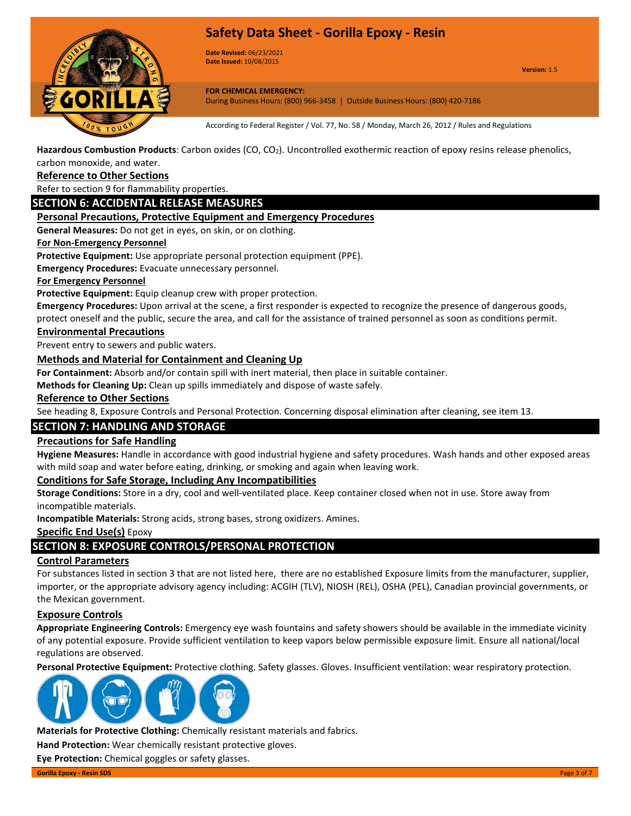

**Date Revised:** 06/23/2021 **Date Issued:** 10/08/2015

**Version:** 1.5

**FOR CHEMICAL EMERGENCY:** During Business Hours: (800) 966-3458 | Outside Business Hours: (800) 420-7186

According to Federal Register / Vol. 77, No. 58 / Monday, March 26, 2012 / Rules and Regulations

**Hazardous Combustion Products**: Carbon oxides (CO, CO2). Uncontrolled exothermic reaction of epoxy resins release phenolics, carbon monoxide, and water.

## **Reference to Other Sections**

Refer to section 9 for flammability properties.

## **SECTION 6: ACCIDENTAL RELEASE MEASURES**

#### **Personal Precautions, Protective Equipment and Emergency Procedures**

**General Measures:** Do not get in eyes, on skin, or on clothing.

#### **For Non-Emergency Personnel**

**Protective Equipment:** Use appropriate personal protection equipment (PPE).

**Emergency Procedures:** Evacuate unnecessary personnel.

#### **For Emergency Personnel**

**Protective Equipment:** Equip cleanup crew with proper protection.

**Emergency Procedures:** Upon arrival at the scene, a first responder is expected to recognize the presence of dangerous goods, protect oneself and the public, secure the area, and call for the assistance of trained personnel as soon as conditions permit.

#### **Environmental Precautions**

Prevent entry to sewers and public waters.

#### **Methods and Material for Containment and Cleaning Up**

**For Containment:** Absorb and/or contain spill with inert material, then place in suitable container.

**Methods for Cleaning Up:** Clean up spills immediately and dispose of waste safely.

#### **Reference to Other Sections**

See heading 8, Exposure Controls and Personal Protection. Concerning disposal elimination after cleaning, see item 13.

## **SECTION 7: HANDLING AND STORAGE**

#### **Precautions for Safe Handling**

**Hygiene Measures:** Handle in accordance with good industrial hygiene and safety procedures. Wash hands and other exposed areas with mild soap and water before eating, drinking, or smoking and again when leaving work.

#### **Conditions for Safe Storage, Including Any Incompatibilities**

**Storage Conditions:** Store in a dry, cool and well-ventilated place. Keep container closed when not in use. Store away from incompatible materials.

**Incompatible Materials:** Strong acids, strong bases, strong oxidizers. Amines.

## **Specific End Use(s)** Epoxy

## **SECTION 8: EXPOSURE CONTROLS/PERSONAL PROTECTION**

#### **Control Parameters**

For substances listed in section 3 that are not listed here, there are no established Exposure limits from the manufacturer, supplier, importer, or the appropriate advisory agency including: ACGIH (TLV), NIOSH (REL), OSHA (PEL), Canadian provincial governments, or the Mexican government.

#### **Exposure Controls**

**Appropriate Engineering Controls:** Emergency eye wash fountains and safety showers should be available in the immediate vicinity of any potential exposure. Provide sufficient ventilation to keep vapors below permissible exposure limit. Ensure all national/local regulations are observed.

**Personal Protective Equipment:** Protective clothing. Safety glasses. Gloves. Insufficient ventilation: wear respiratory protection.



**Materials for Protective Clothing:** Chemically resistant materials and fabrics.

**Hand Protection:** Wear chemically resistant protective gloves.

**Eye Protection:** Chemical goggles or safety glasses.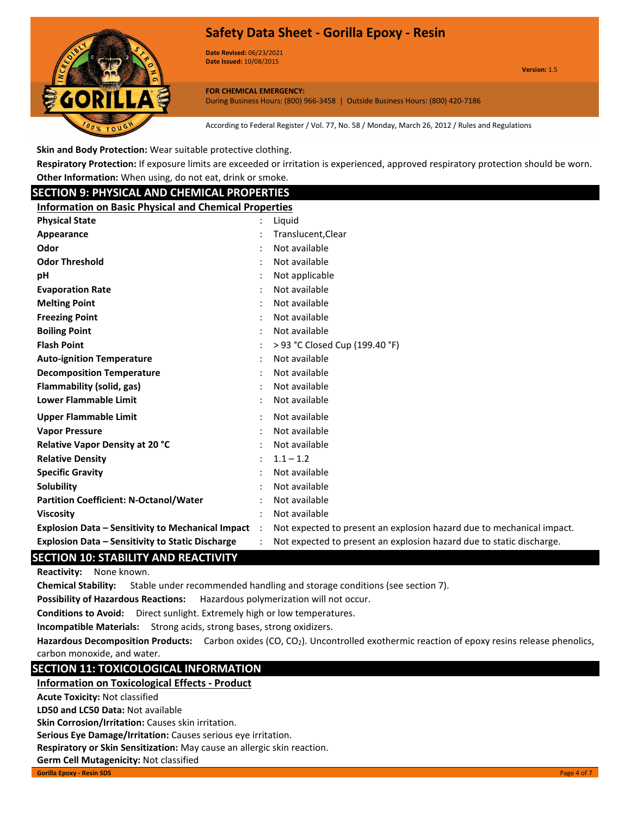

**Date Revised:** 06/23/2021 **Date Issued:** 10/08/2015

**Version:** 1.5

**FOR CHEMICAL EMERGENCY:** During Business Hours: (800) 966-3458 | Outside Business Hours: (800) 420-7186

According to Federal Register / Vol. 77, No. 58 / Monday, March 26, 2012 / Rules and Regulations

**Skin and Body Protection:** Wear suitable protective clothing.

**Respiratory Protection:** If exposure limits are exceeded or irritation is experienced, approved respiratory protection should be worn. **Other Information:** When using, do not eat, drink or smoke.

| <b>SECTION 9: PHYSICAL AND CHEMICAL PROPERTIES</b>           |                      |                                                                       |  |
|--------------------------------------------------------------|----------------------|-----------------------------------------------------------------------|--|
| <b>Information on Basic Physical and Chemical Properties</b> |                      |                                                                       |  |
| <b>Physical State</b>                                        |                      | Liguid                                                                |  |
| Appearance                                                   |                      | Translucent, Clear                                                    |  |
| Odor                                                         |                      | Not available                                                         |  |
| <b>Odor Threshold</b>                                        |                      | Not available                                                         |  |
| pH                                                           |                      | Not applicable                                                        |  |
| <b>Evaporation Rate</b>                                      |                      | Not available                                                         |  |
| <b>Melting Point</b>                                         |                      | Not available                                                         |  |
| <b>Freezing Point</b>                                        |                      | Not available                                                         |  |
| <b>Boiling Point</b>                                         |                      | Not available                                                         |  |
| <b>Flash Point</b>                                           |                      | > 93 °C Closed Cup (199.40 °F)                                        |  |
| <b>Auto-ignition Temperature</b>                             |                      | Not available                                                         |  |
| <b>Decomposition Temperature</b>                             |                      | Not available                                                         |  |
| Flammability (solid, gas)                                    |                      | Not available                                                         |  |
| <b>Lower Flammable Limit</b>                                 |                      | Not available                                                         |  |
| <b>Upper Flammable Limit</b>                                 |                      | Not available                                                         |  |
| <b>Vapor Pressure</b>                                        |                      | Not available                                                         |  |
| Relative Vapor Density at 20 °C                              |                      | Not available                                                         |  |
| <b>Relative Density</b>                                      |                      | $1.1 - 1.2$                                                           |  |
| <b>Specific Gravity</b>                                      |                      | Not available                                                         |  |
| Solubility                                                   |                      | Not available                                                         |  |
| <b>Partition Coefficient: N-Octanol/Water</b>                |                      | Not available                                                         |  |
| <b>Viscosity</b>                                             |                      | Not available                                                         |  |
| <b>Explosion Data - Sensitivity to Mechanical Impact</b>     | $\ddot{\phantom{a}}$ | Not expected to present an explosion hazard due to mechanical impact. |  |
| <b>Explosion Data - Sensitivity to Static Discharge</b>      |                      | Not expected to present an explosion hazard due to static discharge.  |  |

## **SECTION 10: STABILITY AND REACTIVITY**

**Reactivity:** None known.

**Chemical Stability:** Stable under recommended handling and storage conditions (see section 7).

**Possibility of Hazardous Reactions:** Hazardous polymerization will not occur.

**Conditions to Avoid:** Direct sunlight. Extremely high or low temperatures.

**Incompatible Materials:** Strong acids, strong bases, strong oxidizers.

Hazardous Decomposition Products: Carbon oxides (CO, CO<sub>2</sub>). Uncontrolled exothermic reaction of epoxy resins release phenolics, carbon monoxide, and water.

# **SECTION 11: TOXICOLOGICAL INFORMATION**

## **Information on Toxicological Effects - Product**

**Acute Toxicity:** Not classified

**LD50 and LC50 Data:** Not available

**Skin Corrosion/Irritation:** Causes skin irritation.

**Serious Eye Damage/Irritation:** Causes serious eye irritation.

**Respiratory or Skin Sensitization:** May cause an allergic skin reaction.

**Germ Cell Mutagenicity:** Not classified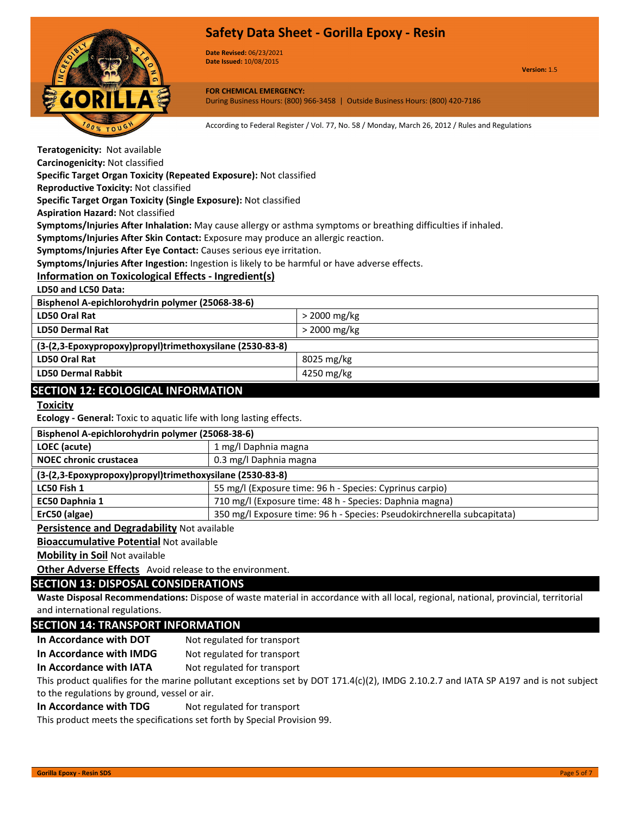

**Date Revised:** 06/23/2021 **Date Issued:** 10/08/2015

**Version:** 1.5

**FOR CHEMICAL EMERGENCY:** During Business Hours: (800) 966-3458 | Outside Business Hours: (800) 420-7186

According to Federal Register / Vol. 77, No. 58 / Monday, March 26, 2012 / Rules and Regulations

**Teratogenicity:** Not available

**Carcinogenicity:** Not classified

**Specific Target Organ Toxicity (Repeated Exposure):** Not classified

**Reproductive Toxicity:** Not classified

**Specific Target Organ Toxicity (Single Exposure):** Not classified

**Aspiration Hazard:** Not classified

**Symptoms/Injuries After Inhalation:** May cause allergy or asthma symptoms or breathing difficulties if inhaled.

**Symptoms/Injuries After Skin Contact:** Exposure may produce an allergic reaction.

**Symptoms/Injuries After Eye Contact:** Causes serious eye irritation.

**Symptoms/Injuries After Ingestion:** Ingestion is likely to be harmful or have adverse effects.

## **Information on Toxicological Effects - Ingredient(s)**

**LD50 and LC50 Data:**

| Bisphenol A-epichlorohydrin polymer (25068-38-6)         |                |  |
|----------------------------------------------------------|----------------|--|
| LD50 Oral Rat                                            | $>$ 2000 mg/kg |  |
| <b>LD50 Dermal Rat</b>                                   | $>$ 2000 mg/kg |  |
| (3-(2,3-Epoxypropoxy)propyl)trimethoxysilane (2530-83-8) |                |  |
| <b>LD50 Oral Rat</b>                                     | 8025 mg/kg     |  |
| <b>LD50 Dermal Rabbit</b>                                | 4250 mg/kg     |  |
| <b>SECTION 12: ECOLOGICAL INFORMATION</b>                |                |  |

#### **Toxicity**

**Ecology - General:** Toxic to aquatic life with long lasting effects.

| Bisphenol A-epichlorohydrin polymer (25068-38-6)         |                                                                         |  |
|----------------------------------------------------------|-------------------------------------------------------------------------|--|
| LOEC (acute)                                             | 1 mg/l Daphnia magna                                                    |  |
| <b>NOEC chronic crustacea</b>                            | 0.3 mg/l Daphnia magna                                                  |  |
| (3-(2,3-Epoxypropoxy)propyl)trimethoxysilane (2530-83-8) |                                                                         |  |
| LC50 Fish 1                                              | 55 mg/l (Exposure time: 96 h - Species: Cyprinus carpio)                |  |
| EC50 Daphnia 1                                           | 710 mg/l (Exposure time: 48 h - Species: Daphnia magna)                 |  |
| ErC50 (algae)                                            | 350 mg/l Exposure time: 96 h - Species: Pseudokirchnerella subcapitata) |  |

## **Persistence and Degradability** Not available

**Bioaccumulative Potential** Not available

**Mobility in Soil** Not available

**Other Adverse Effects** Avoid release to the environment.

## **SECTION 13: DISPOSAL CONSIDERATIONS**

**Waste Disposal Recommendations:** Dispose of waste material in accordance with all local, regional, national, provincial, territorial and international regulations.

## **SECTION 14: TRANSPORT INFORMATION**

**In Accordance with DOT** Not regulated for transport

**In Accordance with IMDG** Not regulated for transport

**In Accordance with IATA** Not regulated for transport

This product qualifies for the marine pollutant exceptions set by DOT 171.4(c)(2), IMDG 2.10.2.7 and IATA SP A197 and is not subject to the regulations by ground, vessel or air.

#### **In Accordance with TDG** Not regulated for transport

This product meets the specifications set forth by Special Provision 99.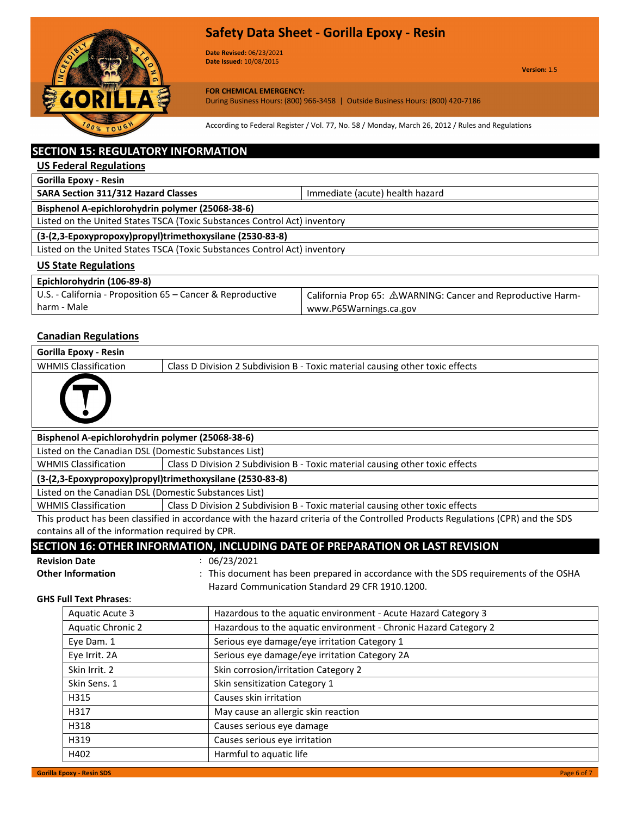

**Date Revised:** 06/23/2021 **Date Issued:** 10/08/2015

**Version:** 1.5

**FOR CHEMICAL EMERGENCY:** During Business Hours: (800) 966-3458 | Outside Business Hours: (800) 420-7186

According to Federal Register / Vol. 77, No. 58 / Monday, March 26, 2012 / Rules and Regulations

# **SECTION 15: REGULATORY INFORMATION**

**US Federal Regulations**

**Gorilla Epoxy - Resin**

**SARA Section 311/312 Hazard Classes In the United SARA Section 311/312 Hazard Classes IMMED 10 11/812** 

**Bisphenol A-epichlorohydrin polymer (25068-38-6)**

Listed on the United States TSCA (Toxic Substances Control Act) inventory

**(3-(2,3-Epoxypropoxy)propyl)trimethoxysilane (2530-83-8)**

Listed on the United States TSCA (Toxic Substances Control Act) inventory

## **US State Regulations**

| Epichlorohydrin (106-89-8)                                 |                                                             |
|------------------------------------------------------------|-------------------------------------------------------------|
| U.S. - California - Proposition 65 – Cancer & Reproductive | California Prop 65: △WARNING: Cancer and Reproductive Harm- |
| harm - Male                                                | www.P65Warnings.ca.gov                                      |

# **Canadian Regulations**

| Gorilla Epoxy - Resin                                    |                                                                               |  |
|----------------------------------------------------------|-------------------------------------------------------------------------------|--|
| <b>WHMIS Classification</b>                              | Class D Division 2 Subdivision B - Toxic material causing other toxic effects |  |
|                                                          |                                                                               |  |
| Bisphenol A-epichlorohydrin polymer (25068-38-6)         |                                                                               |  |
| Listed on the Canadian DSL (Domestic Substances List)    |                                                                               |  |
| <b>WHMIS Classification</b>                              | Class D Division 2 Subdivision B - Toxic material causing other toxic effects |  |
| (3-(2,3-Epoxypropoxy)propyl)trimethoxysilane (2530-83-8) |                                                                               |  |
| Listed on the Canadian DSL (Domestic Substances List)    |                                                                               |  |
| <b>WHMIS Classification</b>                              | Class D Division 2 Subdivision B - Toxic material causing other toxic effects |  |

This product has been classified in accordance with the hazard criteria of the Controlled Products Regulations (CPR) and the SDS contains all of the information required by CPR.

# **SECTION 16: OTHER INFORMATION, INCLUDING DATE OF PREPARATION OR LAST REVISION**

**Revision Date** : 06/23/2021

**Other Information** : This document has been prepared in accordance with the SDS requirements of the OSHA Hazard Communication Standard 29 CFR 1910.1200.

#### **GHS Full Text Phrases**:

| Aquatic Acute 3          | Hazardous to the aquatic environment - Acute Hazard Category 3   |
|--------------------------|------------------------------------------------------------------|
| <b>Aquatic Chronic 2</b> | Hazardous to the aquatic environment - Chronic Hazard Category 2 |
| Eye Dam. 1               | Serious eye damage/eye irritation Category 1                     |
| Eye Irrit. 2A            | Serious eye damage/eye irritation Category 2A                    |
| Skin Irrit. 2            | Skin corrosion/irritation Category 2                             |
| Skin Sens. 1             | Skin sensitization Category 1                                    |
| H315                     | Causes skin irritation                                           |
| H317                     | May cause an allergic skin reaction                              |
| H318                     | Causes serious eye damage                                        |
| H319                     | Causes serious eye irritation                                    |
| H402                     | Harmful to aquatic life                                          |